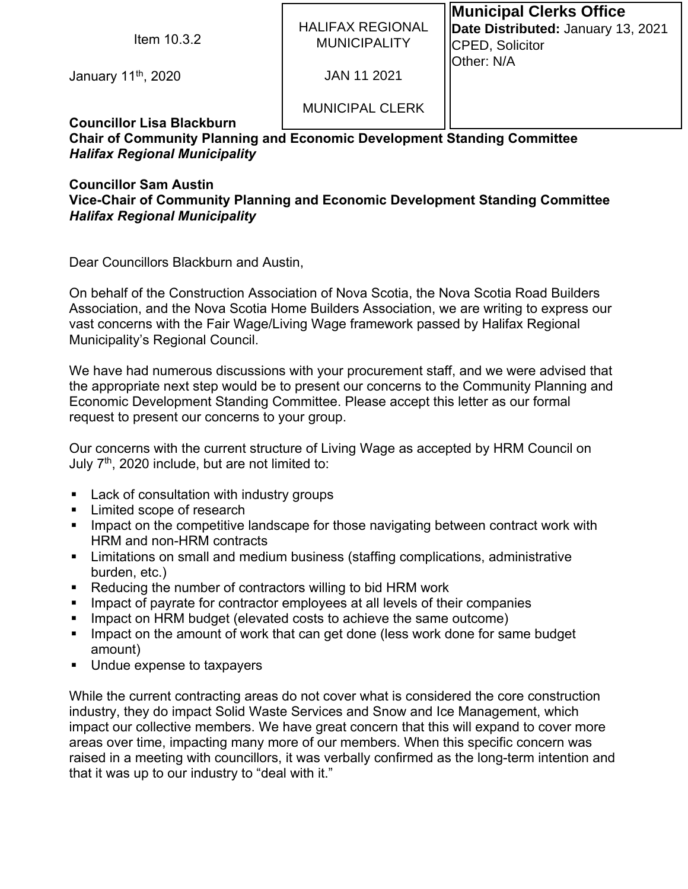| Item $10.3.2$                    | <b>HALIFAX REGIONAL</b><br><b>MUNICIPALITY</b> | <b>Municipal Clerks Office</b><br>Date Distributed: January 13, 2021<br>CPED, Solicitor<br><b>Other: N/A</b> |
|----------------------------------|------------------------------------------------|--------------------------------------------------------------------------------------------------------------|
| January 11 <sup>th</sup> , 2020  | JAN 11 2021                                    |                                                                                                              |
| <b>Councillor Lisa Blackburn</b> | <b>MUNICIPAL CLERK</b>                         |                                                                                                              |

## **Chair of Community Planning and Economic Development Standing Committee**  *Halifax Regional Municipality*

## **Councillor Sam Austin Vice-Chair of Community Planning and Economic Development Standing Committee**  *Halifax Regional Municipality*

Dear Councillors Blackburn and Austin,

On behalf of the Construction Association of Nova Scotia, the Nova Scotia Road Builders Association, and the Nova Scotia Home Builders Association, we are writing to express our vast concerns with the Fair Wage/Living Wage framework passed by Halifax Regional Municipality's Regional Council.

We have had numerous discussions with your procurement staff, and we were advised that the appropriate next step would be to present our concerns to the Community Planning and Economic Development Standing Committee. Please accept this letter as our formal request to present our concerns to your group.

Our concerns with the current structure of Living Wage as accepted by HRM Council on July 7<sup>th</sup>, 2020 include, but are not limited to:

- **Lack of consultation with industry groups**
- **Limited scope of research**
- **IMPACT** Impact on the competitive landscape for those navigating between contract work with HRM and non-HRM contracts
- **EXT** Limitations on small and medium business (staffing complications, administrative burden, etc.)
- Reducing the number of contractors willing to bid HRM work
- Impact of payrate for contractor employees at all levels of their companies
- Impact on HRM budget (elevated costs to achieve the same outcome)
- **IMPACT ON THE AMOUT IS NOTE 10** Impact on the amount of work one for same budget amount)
- Undue expense to taxpayers

While the current contracting areas do not cover what is considered the core construction industry, they do impact Solid Waste Services and Snow and Ice Management, which impact our collective members. We have great concern that this will expand to cover more areas over time, impacting many more of our members. When this specific concern was raised in a meeting with councillors, it was verbally confirmed as the long-term intention and that it was up to our industry to "deal with it."